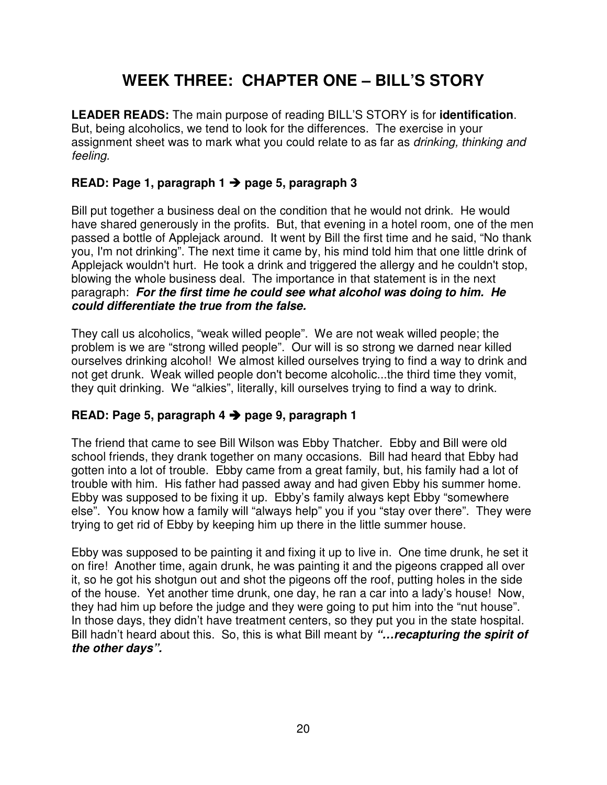## **WEEK THREE: CHAPTER ONE – BILL'S STORY**

**LEADER READS:** The main purpose of reading BILL'S STORY is for **identification**. But, being alcoholics, we tend to look for the differences. The exercise in your assignment sheet was to mark what you could relate to as far as drinking, thinking and feeling.

#### **READ: Page 1, paragraph 1 page 5, paragraph 3**

Bill put together a business deal on the condition that he would not drink. He would have shared generously in the profits. But, that evening in a hotel room, one of the men passed a bottle of Applejack around. It went by Bill the first time and he said, "No thank you, I'm not drinking". The next time it came by, his mind told him that one little drink of Applejack wouldn't hurt. He took a drink and triggered the allergy and he couldn't stop, blowing the whole business deal. The importance in that statement is in the next paragraph: **For the first time he could see what alcohol was doing to him. He could differentiate the true from the false.**

They call us alcoholics, "weak willed people". We are not weak willed people; the problem is we are "strong willed people". Our will is so strong we darned near killed ourselves drinking alcohol! We almost killed ourselves trying to find a way to drink and not get drunk. Weak willed people don't become alcoholic...the third time they vomit, they quit drinking. We "alkies", literally, kill ourselves trying to find a way to drink.

#### **READ: Page 5, paragraph 4 page 9, paragraph 1**

The friend that came to see Bill Wilson was Ebby Thatcher. Ebby and Bill were old school friends, they drank together on many occasions. Bill had heard that Ebby had gotten into a lot of trouble. Ebby came from a great family, but, his family had a lot of trouble with him. His father had passed away and had given Ebby his summer home. Ebby was supposed to be fixing it up. Ebby's family always kept Ebby "somewhere else". You know how a family will "always help" you if you "stay over there". They were trying to get rid of Ebby by keeping him up there in the little summer house.

Ebby was supposed to be painting it and fixing it up to live in. One time drunk, he set it on fire! Another time, again drunk, he was painting it and the pigeons crapped all over it, so he got his shotgun out and shot the pigeons off the roof, putting holes in the side of the house. Yet another time drunk, one day, he ran a car into a lady's house! Now, they had him up before the judge and they were going to put him into the "nut house". In those days, they didn't have treatment centers, so they put you in the state hospital. Bill hadn't heard about this. So, this is what Bill meant by **"…recapturing the spirit of the other days".**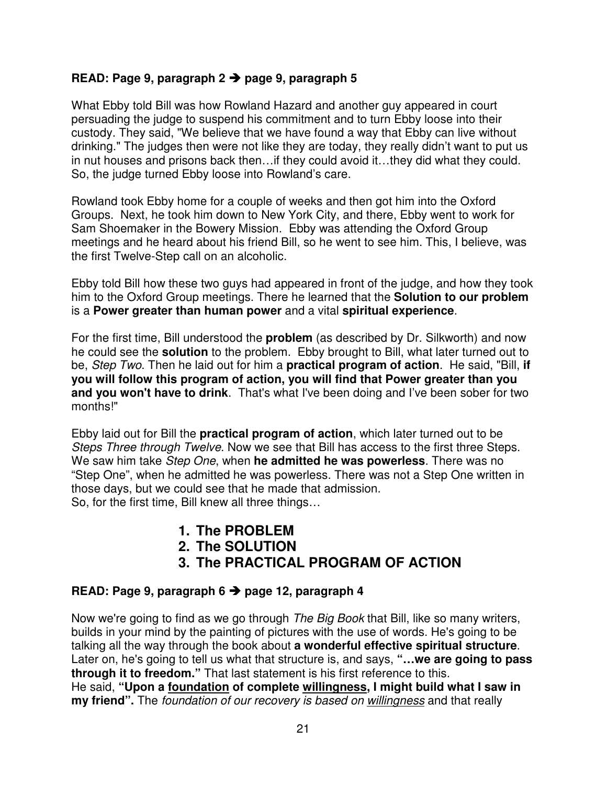#### **READ: Page 9, paragraph 2 page 9, paragraph 5**

What Ebby told Bill was how Rowland Hazard and another guy appeared in court persuading the judge to suspend his commitment and to turn Ebby loose into their custody. They said, "We believe that we have found a way that Ebby can live without drinking." The judges then were not like they are today, they really didn't want to put us in nut houses and prisons back then…if they could avoid it…they did what they could. So, the judge turned Ebby loose into Rowland's care.

Rowland took Ebby home for a couple of weeks and then got him into the Oxford Groups. Next, he took him down to New York City, and there, Ebby went to work for Sam Shoemaker in the Bowery Mission. Ebby was attending the Oxford Group meetings and he heard about his friend Bill, so he went to see him. This, I believe, was the first Twelve-Step call on an alcoholic.

Ebby told Bill how these two guys had appeared in front of the judge, and how they took him to the Oxford Group meetings. There he learned that the **Solution to our problem** is a **Power greater than human power** and a vital **spiritual experience**.

For the first time, Bill understood the **problem** (as described by Dr. Silkworth) and now he could see the **solution** to the problem. Ebby brought to Bill, what later turned out to be, Step Two. Then he laid out for him a **practical program of action**. He said, "Bill, **if you will follow this program of action, you will find that Power greater than you**  and you won't have to drink. That's what I've been doing and I've been sober for two months!"

Ebby laid out for Bill the **practical program of action**, which later turned out to be Steps Three through Twelve. Now we see that Bill has access to the first three Steps. We saw him take Step One, when **he admitted he was powerless**. There was no "Step One", when he admitted he was powerless. There was not a Step One written in those days, but we could see that he made that admission. So, for the first time, Bill knew all three things…

- **1. The PROBLEM**
- **2. The SOLUTION**
- **3. The PRACTICAL PROGRAM OF ACTION**

#### **READ: Page 9, paragraph 6 page 12, paragraph 4**

Now we're going to find as we go through *The Big Book* that Bill, like so many writers, builds in your mind by the painting of pictures with the use of words. He's going to be talking all the way through the book about **a wonderful effective spiritual structure**. Later on, he's going to tell us what that structure is, and says, **"…we are going to pass through it to freedom."** That last statement is his first reference to this. He said, **"Upon a foundation of complete willingness, I might build what I saw in my friend".** The foundation of our recovery is based on willingness and that really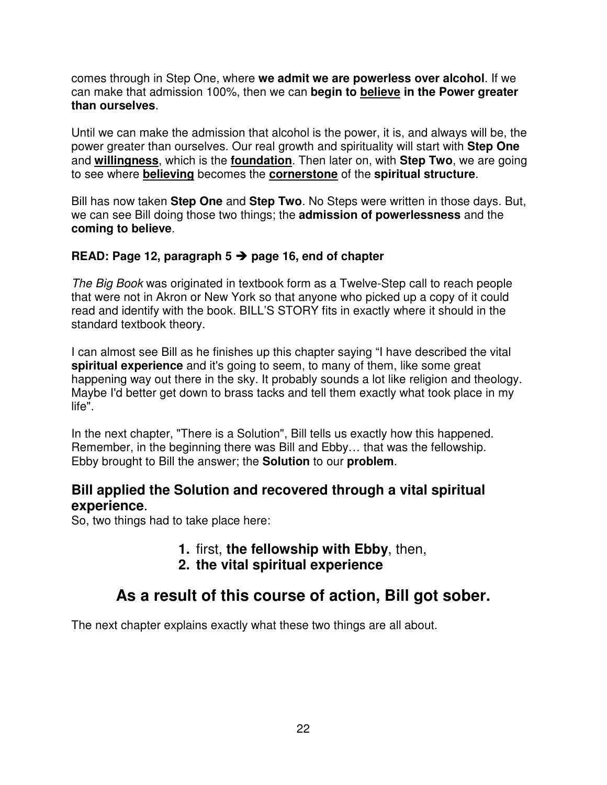comes through in Step One, where **we admit we are powerless over alcohol**. If we can make that admission 100%, then we can **begin to believe in the Power greater than ourselves**.

Until we can make the admission that alcohol is the power, it is, and always will be, the power greater than ourselves. Our real growth and spirituality will start with **Step One** and **willingness**, which is the **foundation**. Then later on, with **Step Two**, we are going to see where **believing** becomes the **cornerstone** of the **spiritual structure**.

Bill has now taken **Step One** and **Step Two**. No Steps were written in those days. But, we can see Bill doing those two things; the **admission of powerlessness** and the **coming to believe**.

#### **READ: Page 12, paragraph 5 page 16, end of chapter**

The Big Book was originated in textbook form as a Twelve-Step call to reach people that were not in Akron or New York so that anyone who picked up a copy of it could read and identify with the book. BILL'S STORY fits in exactly where it should in the standard textbook theory.

I can almost see Bill as he finishes up this chapter saying "I have described the vital **spiritual experience** and it's going to seem, to many of them, like some great happening way out there in the sky. It probably sounds a lot like religion and theology. Maybe I'd better get down to brass tacks and tell them exactly what took place in my life".

In the next chapter, "There is a Solution", Bill tells us exactly how this happened. Remember, in the beginning there was Bill and Ebby… that was the fellowship. Ebby brought to Bill the answer; the **Solution** to our **problem**.

#### **Bill applied the Solution and recovered through a vital spiritual experience**.

So, two things had to take place here:

- **1.** first, **the fellowship with Ebby**, then,
- **2. the vital spiritual experience**

### **As a result of this course of action, Bill got sober.**

The next chapter explains exactly what these two things are all about.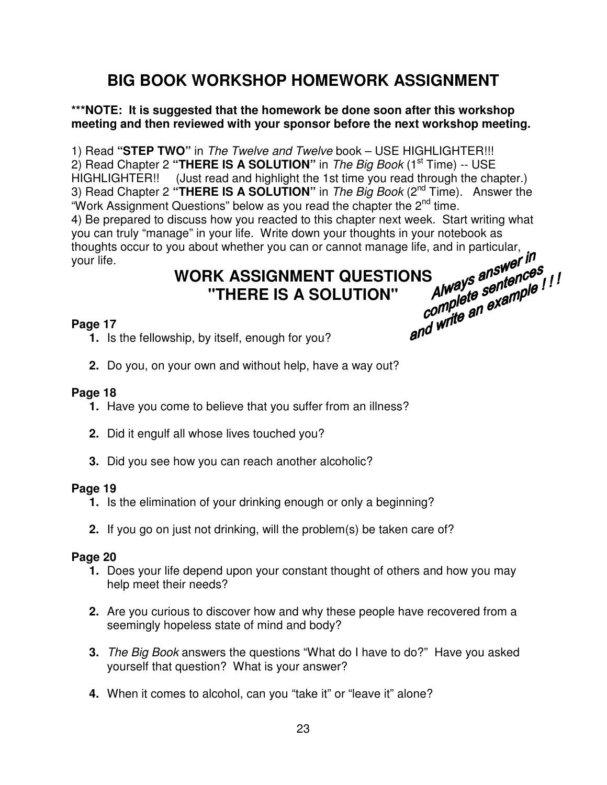## **BIG BOOK WORKSHOP HOMEWORK ASSIGNMENT**

#### **\*\*\*NOTE: It is suggested that the homework be done soon after this workshop meeting and then reviewed with your sponsor before the next workshop meeting.**

1) Read **"STEP TWO"** in The Twelve and Twelve book – USE HIGHLIGHTER!!! 2) Read Chapter 2 "**THERE IS A SOLUTION**" in *The Big Book* (1<sup>st</sup> Time) -- USE HIGHLIGHTER!! (Just read and highlight the 1st time you read through the chapter.) 3) Read Chapter 2 **"THERE IS A SOLUTION"** in The Big Book (2nd Time). Answer the "Work Assignment Questions" below as you read the chapter the 2<sup>nd</sup> time. 4) Be prepared to discuss how you reacted to this chapter next week. Start writing what you can truly "manage" in your life. Write down your thoughts in your notebook as thoughts occur to you about whether you can or cannot manage life, and in particular,<br>your life.<br>WORK ASSIGNMENT OUFSTION your life.

# **WORK ASSIGNMENT QUESTIONS**<br>
"THERE IS A SOLUTION" Always answeries" !<br>
Ship, by itself **"THERE IS A SOLUTION"**

#### **Page 17**

- **1.** Is the fellowship, by itself, enough for you?
- **2.** Do you, on your own and without help, have a way out?

#### **Page 18**

- **1.** Have you come to believe that you suffer from an illness?
- **2.** Did it engulf all whose lives touched you?
- **3.** Did you see how you can reach another alcoholic?

#### **Page 19**

- **1.** Is the elimination of your drinking enough or only a beginning?
- **2.** If you go on just not drinking, will the problem(s) be taken care of?

- **1.** Does your life depend upon your constant thought of others and how you may help meet their needs?
- **2.** Are you curious to discover how and why these people have recovered from a seemingly hopeless state of mind and body?
- **3.** The Big Book answers the questions "What do I have to do?" Have you asked yourself that question? What is your answer?
- **4.** When it comes to alcohol, can you "take it" or "leave it" alone?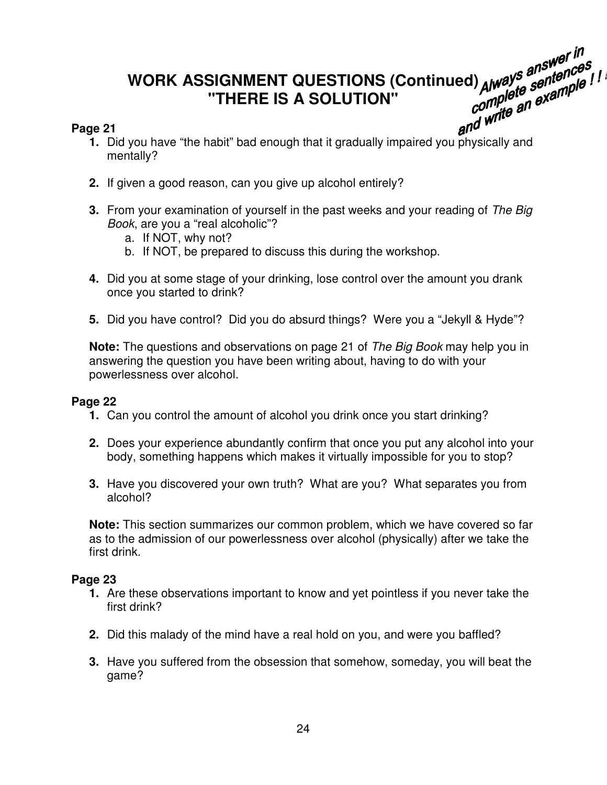# **WORK ASSIGNMENT QUESTIONS (Continued) "THERE IS A SOLUTION"**  and Ways and the habit" bad enough that it gradually impaired you physically and<br>and write an example the habit" bad enough that it gradually impaired you physically and<br>and write and write and write and write and write an

#### **Page 21**

- mentally?
- **2.** If given a good reason, can you give up alcohol entirely?
- **3.** From your examination of yourself in the past weeks and your reading of The Big Book, are you a "real alcoholic"?
	- a. If NOT, why not?
	- b. If NOT, be prepared to discuss this during the workshop.
- **4.** Did you at some stage of your drinking, lose control over the amount you drank once you started to drink?
- **5.** Did you have control? Did you do absurd things? Were you a "Jekyll & Hyde"?

**Note:** The questions and observations on page 21 of The Big Book may help you in answering the question you have been writing about, having to do with your powerlessness over alcohol.

#### **Page 22**

- **1.** Can you control the amount of alcohol you drink once you start drinking?
- **2.** Does your experience abundantly confirm that once you put any alcohol into your body, something happens which makes it virtually impossible for you to stop?
- **3.** Have you discovered your own truth? What are you? What separates you from alcohol?

**Note:** This section summarizes our common problem, which we have covered so far as to the admission of our powerlessness over alcohol (physically) after we take the first drink.

- **1.** Are these observations important to know and yet pointless if you never take the first drink?
- **2.** Did this malady of the mind have a real hold on you, and were you baffled?
- **3.** Have you suffered from the obsession that somehow, someday, you will beat the game?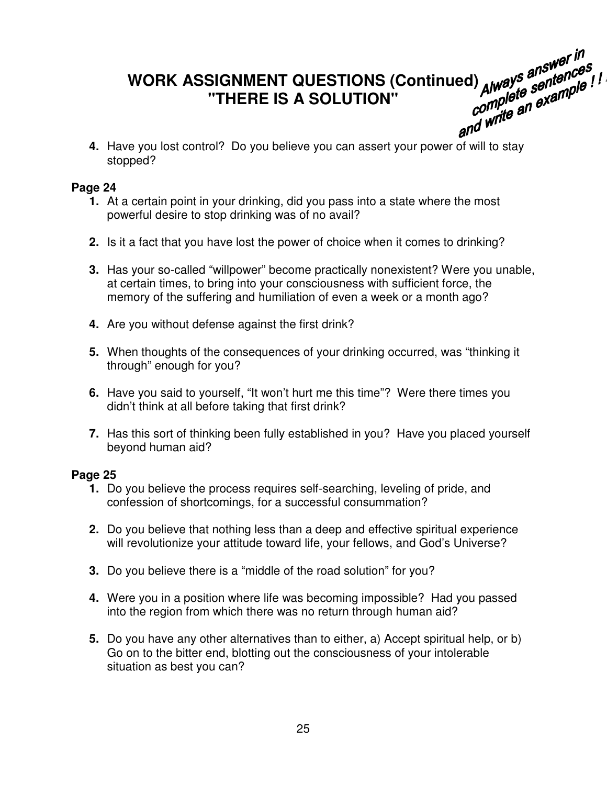# **WORK ASSIGNMENT QUESTIONS (Continued) "THERE IS A SOLUTION" 4. Have you lost control?** Do you believe you can assert your power of will to stay<br>**4.** Have you lost control? Do you believe you can assert your power of will to stay

stopped?

#### **Page 24**

- **1.** At a certain point in your drinking, did you pass into a state where the most powerful desire to stop drinking was of no avail?
- **2.** Is it a fact that you have lost the power of choice when it comes to drinking?
- **3.** Has your so-called "willpower" become practically nonexistent? Were you unable, at certain times, to bring into your consciousness with sufficient force, the memory of the suffering and humiliation of even a week or a month ago?
- **4.** Are you without defense against the first drink?
- **5.** When thoughts of the consequences of your drinking occurred, was "thinking it through" enough for you?
- **6.** Have you said to yourself, "It won't hurt me this time"? Were there times you didn't think at all before taking that first drink?
- **7.** Has this sort of thinking been fully established in you? Have you placed yourself beyond human aid?

- **1.** Do you believe the process requires self-searching, leveling of pride, and confession of shortcomings, for a successful consummation?
- **2.** Do you believe that nothing less than a deep and effective spiritual experience will revolutionize your attitude toward life, your fellows, and God's Universe?
- **3.** Do you believe there is a "middle of the road solution" for you?
- **4.** Were you in a position where life was becoming impossible? Had you passed into the region from which there was no return through human aid?
- **5.** Do you have any other alternatives than to either, a) Accept spiritual help, or b) Go on to the bitter end, blotting out the consciousness of your intolerable situation as best you can?